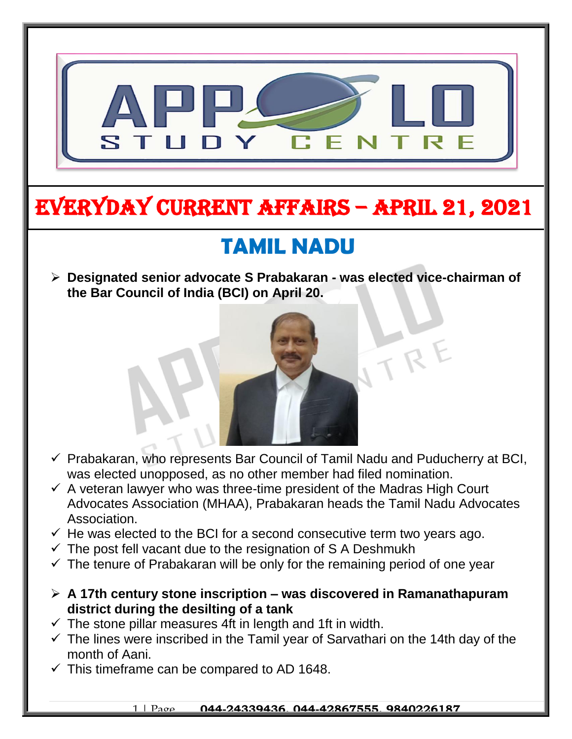

# EVERYDAY CURRENT AFFAIRS – APRIL 21, 2021

## **TAMIL NADU**

 **Designated senior advocate S Prabakaran - was elected vice-chairman of the Bar Council of India (BCI) on April 20.**  $\overline{\phantom{0}}$ 



- $\checkmark$  Prabakaran, who represents Bar Council of Tamil Nadu and Puducherry at BCI, was elected unopposed, as no other member had filed nomination.
- $\checkmark$  A veteran lawyer who was three-time president of the Madras High Court Advocates Association (MHAA), Prabakaran heads the Tamil Nadu Advocates Association.
- $\checkmark$  He was elected to the BCI for a second consecutive term two years ago.
- $\checkmark$  The post fell vacant due to the resignation of S A Deshmukh
- $\checkmark$  The tenure of Prabakaran will be only for the remaining period of one year
- **A 17th century stone inscription – was discovered in Ramanathapuram district during the desilting of a tank**
- $\checkmark$  The stone pillar measures 4ft in length and 1ft in width.
- $\checkmark$  The lines were inscribed in the Tamil year of Sarvathari on the 14th day of the month of Aani.
- $\checkmark$  This timeframe can be compared to AD 1648.

-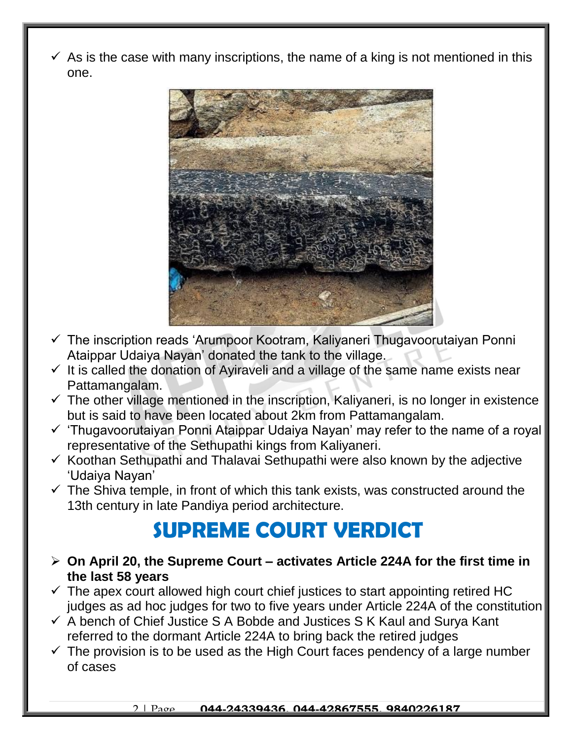$\checkmark$  As is the case with many inscriptions, the name of a king is not mentioned in this one.



- $\checkmark$  The inscription reads 'Arumpoor Kootram, Kaliyaneri Thugavoorutaiyan Ponni Ataippar Udaiya Nayan' donated the tank to the village.
- $\checkmark$  It is called the donation of Ayiraveli and a village of the same name exists near Pattamangalam.
- $\checkmark$  The other village mentioned in the inscription, Kaliyaneri, is no longer in existence but is said to have been located about 2km from Pattamangalam.
- $\checkmark$  'Thugavoorutaiyan Ponni Ataippar Udaiya Nayan' may refer to the name of a royal representative of the Sethupathi kings from Kaliyaneri.
- $\checkmark$  Koothan Sethupathi and Thalavai Sethupathi were also known by the adjective 'Udaiya Nayan'
- $\checkmark$  The Shiva temple, in front of which this tank exists, was constructed around the 13th century in late Pandiya period architecture.

#### **SUPREME COURT VERDICT**

- **On April 20, the Supreme Court – activates Article 224A for the first time in the last 58 years**
- $\checkmark$  The apex court allowed high court chief justices to start appointing retired HC judges as ad hoc judges for two to five years under Article 224A of the constitution
- $\checkmark$  A bench of Chief Justice S A Bobde and Justices S K Kaul and Surva Kant referred to the dormant Article 224A to bring back the retired judges
- $\checkmark$  The provision is to be used as the High Court faces pendency of a large number of cases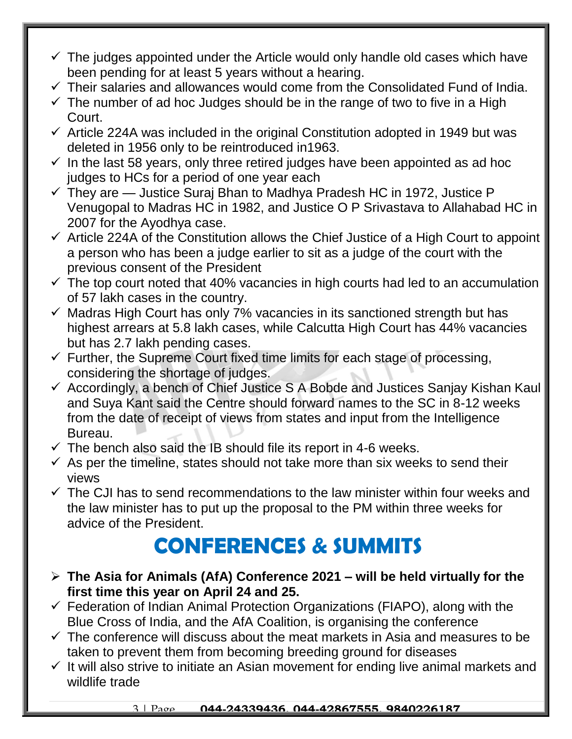- $\checkmark$  The judges appointed under the Article would only handle old cases which have been pending for at least 5 years without a hearing.
- $\checkmark$  Their salaries and allowances would come from the Consolidated Fund of India.
- $\checkmark$  The number of ad hoc Judges should be in the range of two to five in a High Court.
- $\checkmark$  Article 224A was included in the original Constitution adopted in 1949 but was deleted in 1956 only to be reintroduced in1963.
- $\checkmark$  In the last 58 years, only three retired judges have been appointed as ad hoc judges to HCs for a period of one year each
- $\checkmark$  They are  $-$  Justice Suraj Bhan to Madhya Pradesh HC in 1972, Justice P Venugopal to Madras HC in 1982, and Justice O P Srivastava to Allahabad HC in 2007 for the Ayodhya case.
- $\checkmark$  Article 224A of the Constitution allows the Chief Justice of a High Court to appoint a person who has been a judge earlier to sit as a judge of the court with the previous consent of the President
- $\checkmark$  The top court noted that 40% vacancies in high courts had led to an accumulation of 57 lakh cases in the country.
- $\checkmark$  Madras High Court has only 7% vacancies in its sanctioned strength but has highest arrears at 5.8 lakh cases, while Calcutta High Court has 44% vacancies but has 2.7 lakh pending cases.
- $\checkmark$  Further, the Supreme Court fixed time limits for each stage of processing, considering the shortage of judges.
- $\checkmark$  Accordingly, a bench of Chief Justice S A Bobde and Justices Sanjay Kishan Kaul and Suya Kant said the Centre should forward names to the SC in 8-12 weeks from the date of receipt of views from states and input from the Intelligence Bureau.
- $\checkmark$  The bench also said the IB should file its report in 4-6 weeks.
- $\checkmark$  As per the timeline, states should not take more than six weeks to send their views
- $\checkmark$  The CJI has to send recommendations to the law minister within four weeks and the law minister has to put up the proposal to the PM within three weeks for advice of the President.

## **CONFERENCES & SUMMITS**

- **The Asia for Animals (AfA) Conference 2021 – will be held virtually for the first time this year on April 24 and 25.**
- $\checkmark$  Federation of Indian Animal Protection Organizations (FIAPO), along with the Blue Cross of India, and the AfA Coalition, is organising the conference
- $\checkmark$  The conference will discuss about the meat markets in Asia and measures to be taken to prevent them from becoming breeding ground for diseases
- $\checkmark$  It will also strive to initiate an Asian movement for ending live animal markets and wildlife trade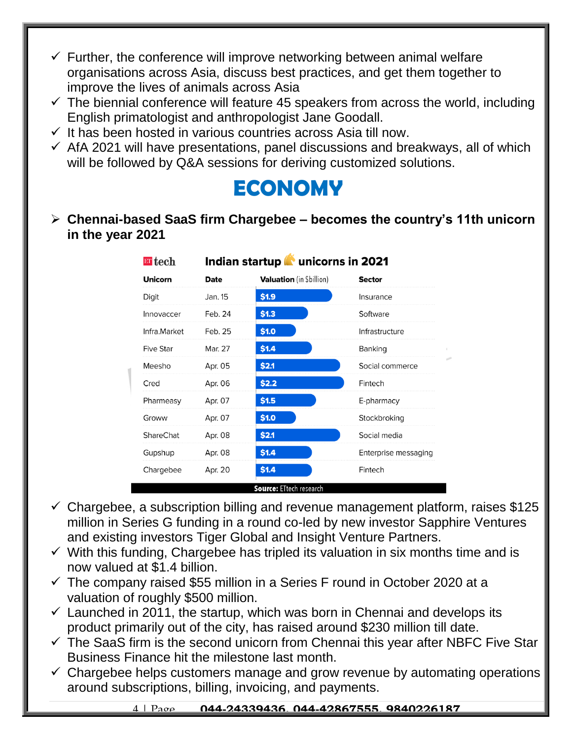- $\checkmark$  Further, the conference will improve networking between animal welfare organisations across Asia, discuss best practices, and get them together to improve the lives of animals across Asia
- $\checkmark$  The biennial conference will feature 45 speakers from across the world, including English primatologist and anthropologist Jane Goodall.
- $\checkmark$  It has been hosted in various countries across Asia till now.
- $\checkmark$  AfA 2021 will have presentations, panel discussions and breakways, all of which will be followed by Q&A sessions for deriving customized solutions.

#### **ECONOMY**

 **Chennai-based SaaS firm Chargebee – becomes the country's 11th unicorn in the year 2021**

| $\blacksquare$ tech<br>Indian startup <b>T</b> unicorns in 2021 |             |                                 |                      |
|-----------------------------------------------------------------|-------------|---------------------------------|----------------------|
| <b>Unicorn</b>                                                  | <b>Date</b> | <b>Valuation</b> (in \$billion) | <b>Sector</b>        |
| Digit                                                           | Jan. 15     | \$1.9                           | Insurance            |
| Innovaccer                                                      | Feb. 24     | \$1.3                           | Software             |
| Infra.Market                                                    | Feb. 25     | \$1.0                           | Infrastructure       |
| <b>Five Star</b>                                                | Mar. 27     | \$1.4                           | Banking              |
| Meesho                                                          | Apr. 05     | \$2.1                           | Social commerce      |
| Cred                                                            | Apr. 06     | \$2.2                           | Fintech              |
| Pharmeasy                                                       | Apr. 07     | \$1.5                           | E-pharmacy           |
| Groww                                                           | Apr. 07     | \$1.0                           | Stockbroking         |
| <b>ShareChat</b>                                                | Apr. 08     | \$2.1                           | Social media         |
| Gupshup                                                         | Apr. 08     | \$1.4                           | Enterprise messaging |
| Chargebee                                                       | Apr. 20     | \$1.4                           | Fintech              |

- $\checkmark$  Chargebee, a subscription billing and revenue management platform, raises \$125 million in Series G funding in a round co-led by new investor Sapphire Ventures and existing investors Tiger Global and Insight Venture Partners.
- $\checkmark$  With this funding, Chargebee has tripled its valuation in six months time and is now valued at \$1.4 billion.
- $\checkmark$  The company raised \$55 million in a Series F round in October 2020 at a valuation of roughly \$500 million.
- $\checkmark$  Launched in 2011, the startup, which was born in Chennai and develops its product primarily out of the city, has raised around \$230 million till date.
- $\checkmark$  The SaaS firm is the second unicorn from Chennai this year after NBFC Five Star Business Finance hit the milestone last month.
- $\checkmark$  Chargebee helps customers manage and grow revenue by automating operations around subscriptions, billing, invoicing, and payments.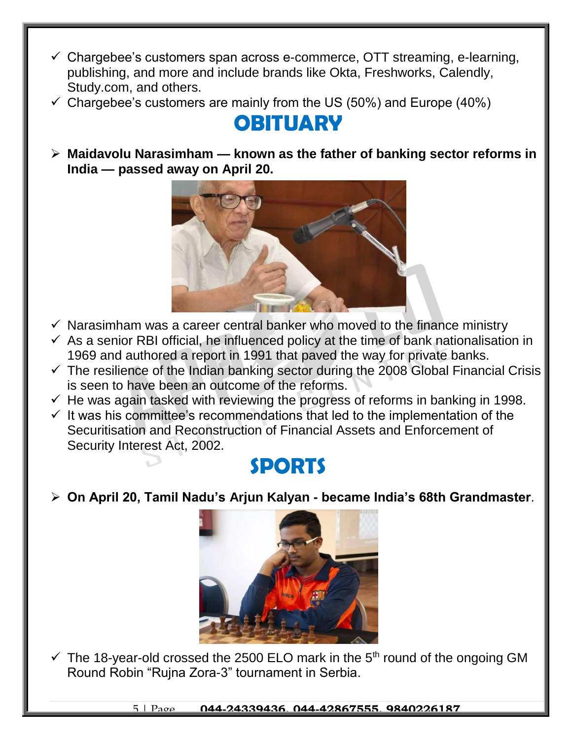- $\checkmark$  Chargebee's customers span across e-commerce, OTT streaming, e-learning, publishing, and more and include brands like Okta, Freshworks, Calendly, Study.com, and others.
- $\checkmark$  Chargebee's customers are mainly from the US (50%) and Europe (40%)

## **OBITUARY**

 **Maidavolu Narasimham — known as the father of banking sector reforms in India — passed away on April 20.**



- $\checkmark$  Narasimham was a career central banker who moved to the finance ministry
- $\checkmark$  As a senior RBI official, he influenced policy at the time of bank nationalisation in 1969 and authored a report in 1991 that paved the way for private banks.
- $\checkmark$  The resilience of the Indian banking sector during the 2008 Global Financial Crisis is seen to have been an outcome of the reforms.
- $\checkmark$  He was again tasked with reviewing the progress of reforms in banking in 1998.
- $\checkmark$  It was his committee's recommendations that led to the implementation of the Securitisation and Reconstruction of Financial Assets and Enforcement of Security Interest Act, 2002.

#### **SPORTS**

**On April 20, Tamil Nadu's Arjun Kalyan - became India's 68th Grandmaster**.



 $\checkmark$  The 18-year-old crossed the 2500 ELO mark in the 5<sup>th</sup> round of the ongoing GM Round Robin "Rujna Zora-3" tournament in Serbia.

5 | Page **044-24339436, 044-42867555, 9840226187**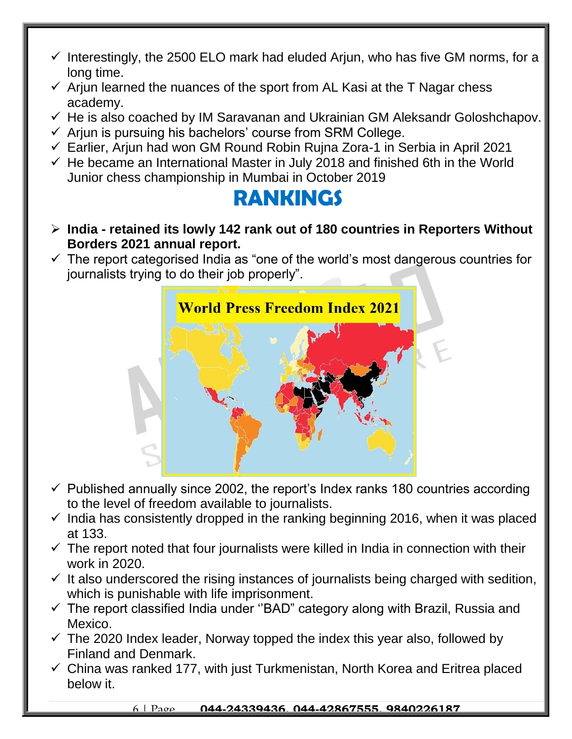- $\checkmark$  Interestingly, the 2500 ELO mark had eluded Arjun, who has five GM norms, for a long time.
- $\checkmark$  Ariun learned the nuances of the sport from AL Kasi at the T Nagar chess academy.
- $\checkmark$  He is also coached by IM Saravanan and Ukrainian GM Aleksandr Goloshchapov.
- $\checkmark$  Arjun is pursuing his bachelors' course from SRM College.
- $\checkmark$  Earlier, Arjun had won GM Round Robin Rujna Zora-1 in Serbia in April 2021
- $\checkmark$  He became an International Master in July 2018 and finished 6th in the World Junior chess championship in Mumbai in October 2019

#### **RANKINGS**

- **India - retained its lowly 142 rank out of 180 countries in Reporters Without Borders 2021 annual report.**
- $\checkmark$  The report categorised India as "one of the world's most dangerous countries for journalists trying to do their job properly".



- $\checkmark$  Published annually since 2002, the report's Index ranks 180 countries according to the level of freedom available to journalists.
- $\checkmark$  India has consistently dropped in the ranking beginning 2016, when it was placed at 133.
- $\checkmark$  The report noted that four journalists were killed in India in connection with their work in 2020.
- $\checkmark$  It also underscored the rising instances of journalists being charged with sedition, which is punishable with life imprisonment.
- $\checkmark$  The report classified India under "BAD" category along with Brazil, Russia and Mexico.
- $\checkmark$  The 2020 Index leader, Norway topped the index this year also, followed by Finland and Denmark.
- $\checkmark$  China was ranked 177, with just Turkmenistan, North Korea and Eritrea placed below it.